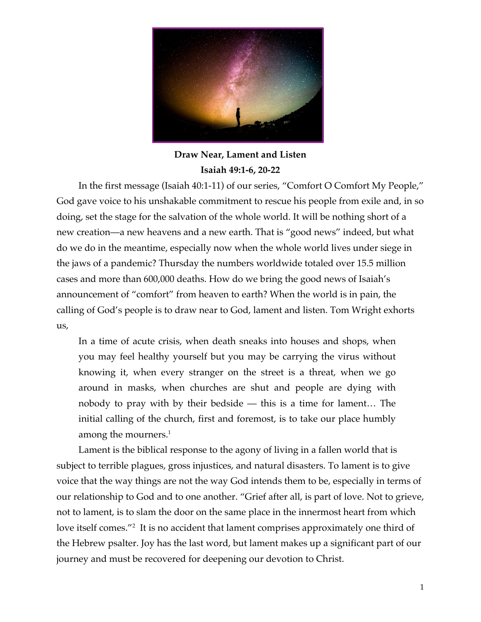

## **Draw Near, Lament and Listen Isaiah 49:1-6, 20-22**

In the first message (Isaiah 40:1-11) of our series, "Comfort O Comfort My People," God gave voice to his unshakable commitment to rescue his people from exile and, in so doing, set the stage for the salvation of the whole world. It will be nothing short of a new creation—a new heavens and a new earth. That is "good news" indeed, but what do we do in the meantime, especially now when the whole world lives under siege in the jaws of a pandemic? Thursday the numbers worldwide totaled over 15.5 million cases and more than 600,000 deaths. How do we bring the good news of Isaiah's announcement of "comfort" from heaven to earth? When the world is in pain, the calling of God's people is to draw near to God, lament and listen. Tom Wright exhorts us,

In a time of acute crisis, when death sneaks into houses and shops, when you may feel healthy yourself but you may be carrying the virus without knowing it, when every stranger on the street is a threat, when we go around in masks, when churches are shut and people are dying with nobody to pray with by their bedside — this is a time for lament… The initial calling of the church, first and foremost, is to take our place humbly among the mourners.<sup>1</sup>

Lament is the biblical response to the agony of living in a fallen world that is subject to terrible plagues, gross injustices, and natural disasters. To lament is to give voice that the way things are not the way God intends them to be, especially in terms of our relationship to God and to one another. "Grief after all, is part of love. Not to grieve, not to lament, is to slam the door on the same place in the innermost heart from which love itself comes."<sup>2</sup> It is no accident that lament comprises approximately one third of the Hebrew psalter. Joy has the last word, but lament makes up a significant part of our journey and must be recovered for deepening our devotion to Christ.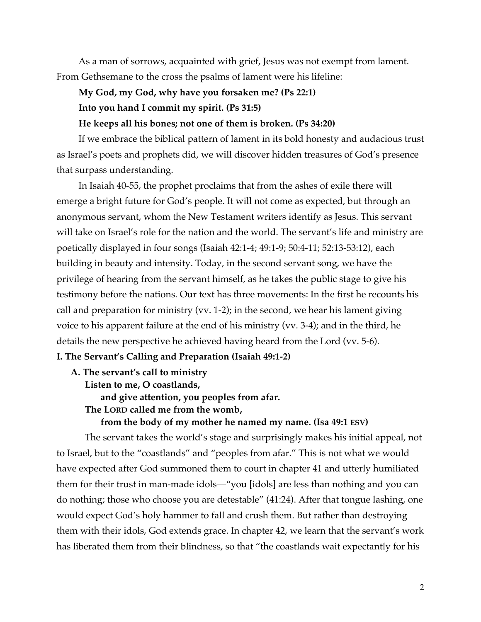As a man of sorrows, acquainted with grief, Jesus was not exempt from lament. From Gethsemane to the cross the psalms of lament were his lifeline:

# **My God, my God, why have you forsaken me? (Ps 22:1) Into you hand I commit my spirit. (Ps 31:5)**

### **He keeps all his bones; not one of them is broken. (Ps 34:20)**

If we embrace the biblical pattern of lament in its bold honesty and audacious trust as Israel's poets and prophets did, we will discover hidden treasures of God's presence that surpass understanding.

In Isaiah 40-55, the prophet proclaims that from the ashes of exile there will emerge a bright future for God's people. It will not come as expected, but through an anonymous servant, whom the New Testament writers identify as Jesus. This servant will take on Israel's role for the nation and the world. The servant's life and ministry are poetically displayed in four songs (Isaiah 42:1-4; 49:1-9; 50:4-11; 52:13-53:12), each building in beauty and intensity. Today, in the second servant song, we have the privilege of hearing from the servant himself, as he takes the public stage to give his testimony before the nations. Our text has three movements: In the first he recounts his call and preparation for ministry (vv. 1-2); in the second, we hear his lament giving voice to his apparent failure at the end of his ministry (vv. 3-4); and in the third, he details the new perspective he achieved having heard from the Lord (vv. 5-6).

## **I. The Servant's Calling and Preparation (Isaiah 49:1-2)**

**A. The servant's call to ministry** 

**Listen to me, O coastlands,**

**and give attention, you peoples from afar.**

 **The LORD called me from the womb,**

### **from the body of my mother he named my name. (Isa 49:1 ESV)**

The servant takes the world's stage and surprisingly makes his initial appeal, not to Israel, but to the "coastlands" and "peoples from afar." This is not what we would have expected after God summoned them to court in chapter 41 and utterly humiliated them for their trust in man-made idols—"you [idols] are less than nothing and you can do nothing; those who choose you are detestable" (41:24). After that tongue lashing, one would expect God's holy hammer to fall and crush them. But rather than destroying them with their idols, God extends grace. In chapter 42, we learn that the servant's work has liberated them from their blindness, so that "the coastlands wait expectantly for his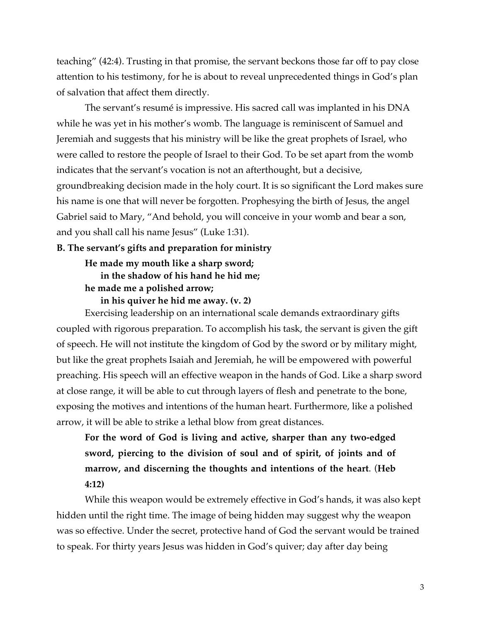teaching" (42:4). Trusting in that promise, the servant beckons those far off to pay close attention to his testimony, for he is about to reveal unprecedented things in God's plan of salvation that affect them directly.

The servant's resumé is impressive. His sacred call was implanted in his DNA while he was yet in his mother's womb. The language is reminiscent of Samuel and Jeremiah and suggests that his ministry will be like the great prophets of Israel, who were called to restore the people of Israel to their God. To be set apart from the womb indicates that the servant's vocation is not an afterthought, but a decisive, groundbreaking decision made in the holy court. It is so significant the Lord makes sure his name is one that will never be forgotten. Prophesying the birth of Jesus, the angel Gabriel said to Mary, "And behold, you will conceive in your womb and bear a son, and you shall call his name Jesus" (Luke 1:31).

#### **B. The servant's gifts and preparation for ministry**

## **He made my mouth like a sharp sword; in the shadow of his hand he hid me; he made me a polished arrow;**

**in his quiver he hid me away. (v. 2)**

Exercising leadership on an international scale demands extraordinary gifts coupled with rigorous preparation. To accomplish his task, the servant is given the gift of speech. He will not institute the kingdom of God by the sword or by military might, but like the great prophets Isaiah and Jeremiah, he will be empowered with powerful preaching. His speech will an effective weapon in the hands of God. Like a sharp sword at close range, it will be able to cut through layers of flesh and penetrate to the bone, exposing the motives and intentions of the human heart. Furthermore, like a polished arrow, it will be able to strike a lethal blow from great distances.

**For the word of God is living and active, sharper than any two-edged sword, piercing to the division of soul and of spirit, of joints and of marrow, and discerning the thoughts and intentions of the heart**. (**Heb 4:12)**

While this weapon would be extremely effective in God's hands, it was also kept hidden until the right time. The image of being hidden may suggest why the weapon was so effective. Under the secret, protective hand of God the servant would be trained to speak. For thirty years Jesus was hidden in God's quiver; day after day being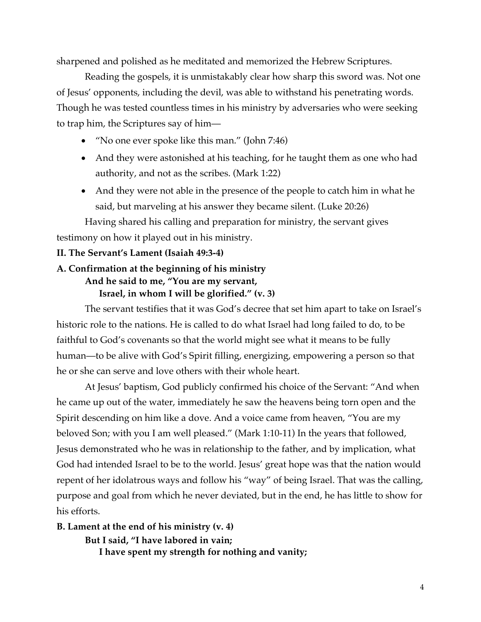sharpened and polished as he meditated and memorized the Hebrew Scriptures.

Reading the gospels, it is unmistakably clear how sharp this sword was. Not one of Jesus' opponents, including the devil, was able to withstand his penetrating words. Though he was tested countless times in his ministry by adversaries who were seeking to trap him, the Scriptures say of him—

- "No one ever spoke like this man." (John 7:46)
- And they were astonished at his teaching, for he taught them as one who had authority, and not as the scribes. (Mark 1:22)
- And they were not able in the presence of the people to catch him in what he said, but marveling at his answer they became silent. (Luke 20:26)

Having shared his calling and preparation for ministry, the servant gives testimony on how it played out in his ministry.

## **II. The Servant's Lament (Isaiah 49:3-4)**

## **A. Confirmation at the beginning of his ministry And he said to me, "You are my servant, Israel, in whom I will be glorified." (v. 3)**

The servant testifies that it was God's decree that set him apart to take on Israel's historic role to the nations. He is called to do what Israel had long failed to do, to be faithful to God's covenants so that the world might see what it means to be fully human—to be alive with God's Spirit filling, energizing, empowering a person so that he or she can serve and love others with their whole heart.

At Jesus' baptism, God publicly confirmed his choice of the Servant: "And when he came up out of the water, immediately he saw the heavens being torn open and the Spirit descending on him like a dove. And a voice came from heaven, "You are my beloved Son; with you I am well pleased." (Mark 1:10-11) In the years that followed, Jesus demonstrated who he was in relationship to the father, and by implication, what God had intended Israel to be to the world. Jesus' great hope was that the nation would repent of her idolatrous ways and follow his "way" of being Israel. That was the calling, purpose and goal from which he never deviated, but in the end, he has little to show for his efforts.

**B. Lament at the end of his ministry (v. 4) But I said, "I have labored in vain; I have spent my strength for nothing and vanity;**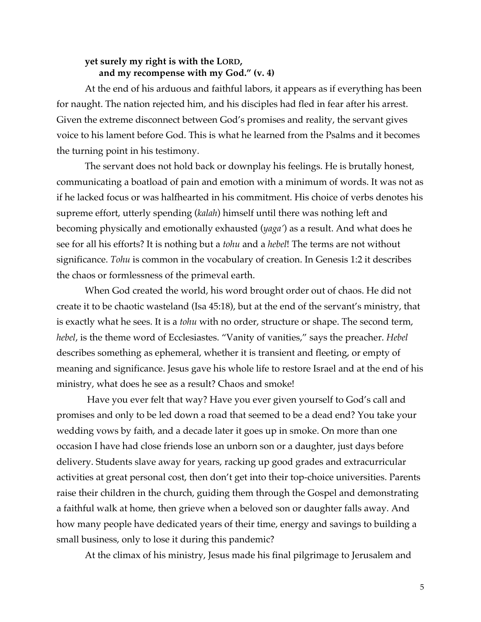## **yet surely my right is with the LORD, and my recompense with my God." (v. 4)**

At the end of his arduous and faithful labors, it appears as if everything has been for naught. The nation rejected him, and his disciples had fled in fear after his arrest. Given the extreme disconnect between God's promises and reality, the servant gives voice to his lament before God. This is what he learned from the Psalms and it becomes the turning point in his testimony.

The servant does not hold back or downplay his feelings. He is brutally honest, communicating a boatload of pain and emotion with a minimum of words. It was not as if he lacked focus or was halfhearted in his commitment. His choice of verbs denotes his supreme effort, utterly spending (*kalah*) himself until there was nothing left and becoming physically and emotionally exhausted (*yaga'*) as a result. And what does he see for all his efforts? It is nothing but a *tohu* and a *hebel*! The terms are not without significance. *Tohu* is common in the vocabulary of creation. In Genesis 1:2 it describes the chaos or formlessness of the primeval earth.

When God created the world, his word brought order out of chaos. He did not create it to be chaotic wasteland (Isa 45:18), but at the end of the servant's ministry, that is exactly what he sees. It is a *tohu* with no order, structure or shape. The second term, *hebel*, is the theme word of Ecclesiastes. "Vanity of vanities," says the preacher. *Hebel* describes something as ephemeral, whether it is transient and fleeting, or empty of meaning and significance. Jesus gave his whole life to restore Israel and at the end of his ministry, what does he see as a result? Chaos and smoke!

Have you ever felt that way? Have you ever given yourself to God's call and promises and only to be led down a road that seemed to be a dead end? You take your wedding vows by faith, and a decade later it goes up in smoke. On more than one occasion I have had close friends lose an unborn son or a daughter, just days before delivery. Students slave away for years, racking up good grades and extracurricular activities at great personal cost, then don't get into their top-choice universities. Parents raise their children in the church, guiding them through the Gospel and demonstrating a faithful walk at home, then grieve when a beloved son or daughter falls away. And how many people have dedicated years of their time, energy and savings to building a small business, only to lose it during this pandemic?

At the climax of his ministry, Jesus made his final pilgrimage to Jerusalem and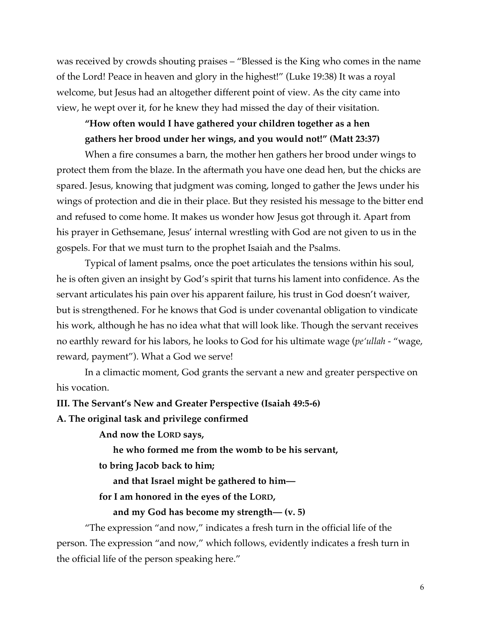was received by crowds shouting praises – "Blessed is the King who comes in the name of the Lord! Peace in heaven and glory in the highest!" (Luke 19:38) It was a royal welcome, but Jesus had an altogether different point of view. As the city came into view, he wept over it, for he knew they had missed the day of their visitation.

# **"How often would I have gathered your children together as a hen gathers her brood under her wings, and you would not!" (Matt 23:37)**

When a fire consumes a barn, the mother hen gathers her brood under wings to protect them from the blaze. In the aftermath you have one dead hen, but the chicks are spared. Jesus, knowing that judgment was coming, longed to gather the Jews under his wings of protection and die in their place. But they resisted his message to the bitter end and refused to come home. It makes us wonder how Jesus got through it. Apart from his prayer in Gethsemane, Jesus' internal wrestling with God are not given to us in the gospels. For that we must turn to the prophet Isaiah and the Psalms.

Typical of lament psalms, once the poet articulates the tensions within his soul, he is often given an insight by God's spirit that turns his lament into confidence. As the servant articulates his pain over his apparent failure, his trust in God doesn't waiver, but is strengthened. For he knows that God is under covenantal obligation to vindicate his work, although he has no idea what that will look like. Though the servant receives no earthly reward for his labors, he looks to God for his ultimate wage (*pe'ullah* - "wage, reward, payment"). What a God we serve!

In a climactic moment, God grants the servant a new and greater perspective on his vocation.

#### **III. The Servant's New and Greater Perspective (Isaiah 49:5-6)**

**A. The original task and privilege confirmed**

**And now the LORD says,**

**he who formed me from the womb to be his servant,**

**to bring Jacob back to him;**

**and that Israel might be gathered to him—**

**for I am honored in the eyes of the LORD,**

**and my God has become my strength— (v. 5)**

"The expression "and now," indicates a fresh turn in the official life of the person. The expression "and now," which follows, evidently indicates a fresh turn in the official life of the person speaking here."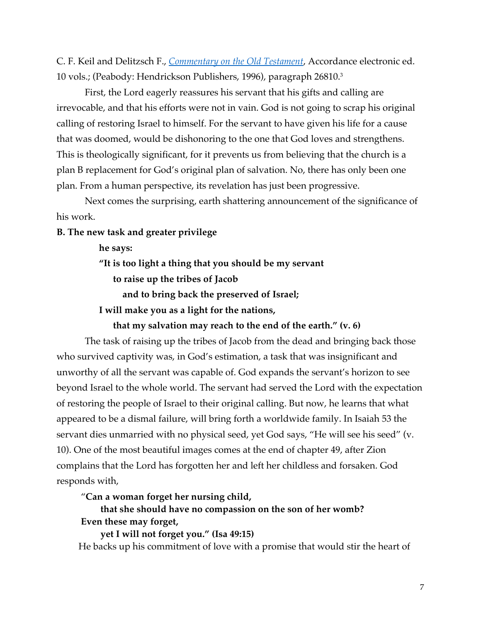C. F. Keil and Delitzsch F., *Commentary on the Old Testament*, Accordance electronic ed. 10 vols.; (Peabody: Hendrickson Publishers, 1996), paragraph 26810.3

First, the Lord eagerly reassures his servant that his gifts and calling are irrevocable, and that his efforts were not in vain. God is not going to scrap his original calling of restoring Israel to himself. For the servant to have given his life for a cause that was doomed, would be dishonoring to the one that God loves and strengthens. This is theologically significant, for it prevents us from believing that the church is a plan B replacement for God's original plan of salvation. No, there has only been one plan. From a human perspective, its revelation has just been progressive.

Next comes the surprising, earth shattering announcement of the significance of his work.

#### **B. The new task and greater privilege**

**he says:**

**"It is too light a thing that you should be my servant**

**to raise up the tribes of Jacob**

**and to bring back the preserved of Israel;**

 **I will make you as a light for the nations,**

**that my salvation may reach to the end of the earth." (v. 6)**

The task of raising up the tribes of Jacob from the dead and bringing back those who survived captivity was, in God's estimation, a task that was insignificant and unworthy of all the servant was capable of. God expands the servant's horizon to see beyond Israel to the whole world. The servant had served the Lord with the expectation of restoring the people of Israel to their original calling. But now, he learns that what appeared to be a dismal failure, will bring forth a worldwide family. In Isaiah 53 the servant dies unmarried with no physical seed, yet God says, "He will see his seed" (v. 10). One of the most beautiful images comes at the end of chapter 49, after Zion complains that the Lord has forgotten her and left her childless and forsaken. God responds with,

"**Can a woman forget her nursing child,**

**that she should have no compassion on the son of her womb? Even these may forget,**

**yet I will not forget you." (Isa 49:15)** He backs up his commitment of love with a promise that would stir the heart of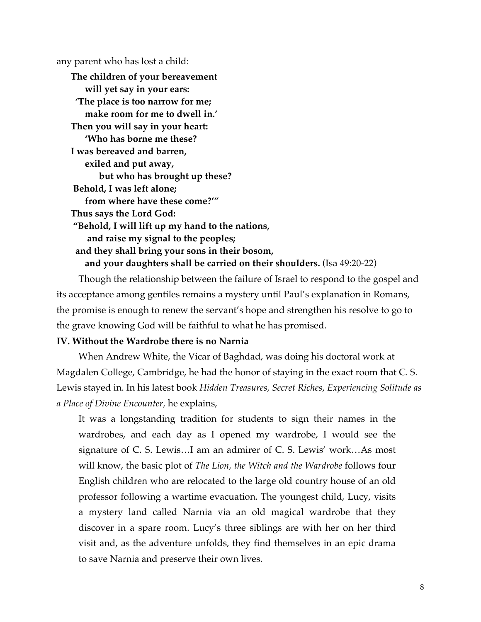any parent who has lost a child:

**The children of your bereavement will yet say in your ears: 'The place is too narrow for me; make room for me to dwell in.' Then you will say in your heart: 'Who has borne me these? I was bereaved and barren, exiled and put away, but who has brought up these? Behold, I was left alone; from where have these come?'" Thus says the Lord God: "Behold, I will lift up my hand to the nations, and raise my signal to the peoples; and they shall bring your sons in their bosom, and your daughters shall be carried on their shoulders.** (Isa 49:20-22)

Though the relationship between the failure of Israel to respond to the gospel and its acceptance among gentiles remains a mystery until Paul's explanation in Romans, the promise is enough to renew the servant's hope and strengthen his resolve to go to the grave knowing God will be faithful to what he has promised.

#### **IV. Without the Wardrobe there is no Narnia**

When Andrew White, the Vicar of Baghdad, was doing his doctoral work at Magdalen College, Cambridge, he had the honor of staying in the exact room that C. S. Lewis stayed in. In his latest book *Hidden Treasures, Secret Riches*, *Experiencing Solitude as a Place of Divine Encounter,* he explains,

It was a longstanding tradition for students to sign their names in the wardrobes, and each day as I opened my wardrobe, I would see the signature of C. S. Lewis…I am an admirer of C. S. Lewis' work…As most will know, the basic plot of *The Lion, the Witch and the Wardrobe* follows four English children who are relocated to the large old country house of an old professor following a wartime evacuation. The youngest child, Lucy, visits a mystery land called Narnia via an old magical wardrobe that they discover in a spare room. Lucy's three siblings are with her on her third visit and, as the adventure unfolds, they find themselves in an epic drama to save Narnia and preserve their own lives.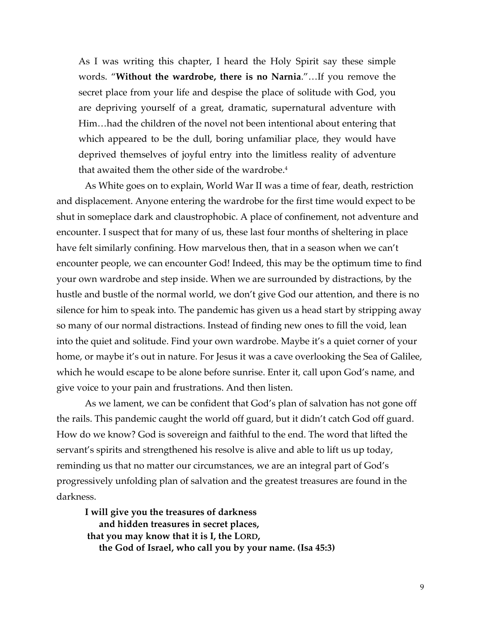As I was writing this chapter, I heard the Holy Spirit say these simple words. "**Without the wardrobe, there is no Narnia**."…If you remove the secret place from your life and despise the place of solitude with God, you are depriving yourself of a great, dramatic, supernatural adventure with Him…had the children of the novel not been intentional about entering that which appeared to be the dull, boring unfamiliar place, they would have deprived themselves of joyful entry into the limitless reality of adventure that awaited them the other side of the wardrobe.<sup>4</sup>

As White goes on to explain, World War II was a time of fear, death, restriction and displacement. Anyone entering the wardrobe for the first time would expect to be shut in someplace dark and claustrophobic. A place of confinement, not adventure and encounter. I suspect that for many of us, these last four months of sheltering in place have felt similarly confining. How marvelous then, that in a season when we can't encounter people, we can encounter God! Indeed, this may be the optimum time to find your own wardrobe and step inside. When we are surrounded by distractions, by the hustle and bustle of the normal world, we don't give God our attention, and there is no silence for him to speak into. The pandemic has given us a head start by stripping away so many of our normal distractions. Instead of finding new ones to fill the void, lean into the quiet and solitude. Find your own wardrobe. Maybe it's a quiet corner of your home, or maybe it's out in nature. For Jesus it was a cave overlooking the Sea of Galilee, which he would escape to be alone before sunrise. Enter it, call upon God's name, and give voice to your pain and frustrations. And then listen.

As we lament, we can be confident that God's plan of salvation has not gone off the rails. This pandemic caught the world off guard, but it didn't catch God off guard. How do we know? God is sovereign and faithful to the end. The word that lifted the servant's spirits and strengthened his resolve is alive and able to lift us up today, reminding us that no matter our circumstances, we are an integral part of God's progressively unfolding plan of salvation and the greatest treasures are found in the darkness.

**I will give you the treasures of darkness and hidden treasures in secret places, that you may know that it is I, the LORD, the God of Israel, who call you by your name. (Isa 45:3)**